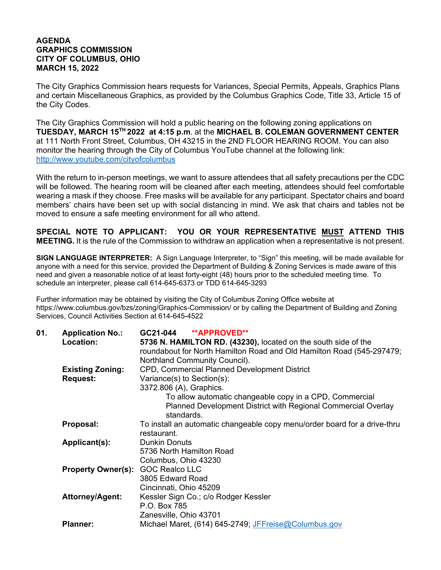## **AGENDA GRAPHICS COMMISSION CITY OF COLUMBUS, OHIO MARCH 15, 2022**

The City Graphics Commission hears requests for Variances, Special Permits, Appeals, Graphics Plans and certain Miscellaneous Graphics, as provided by the Columbus Graphics Code, Title 33, Article 15 of the City Codes.

The City Graphics Commission will hold a public hearing on the following zoning applications on **TUESDAY, MARCH 15TH 2022 at 4:15 p.m**. at the **MICHAEL B. COLEMAN GOVERNMENT CENTER** at 111 North Front Street, Columbus, OH 43215 in the 2ND FLOOR HEARING ROOM. You can also monitor the hearing through the City of Columbus YouTube channel at the following link: http://www.youtube.com/cityofcolumbus

With the return to in-person meetings, we want to assure attendees that all safety precautions per the CDC will be followed. The hearing room will be cleaned after each meeting, attendees should feel comfortable wearing a mask if they choose. Free masks will be available for any participant. Spectator chairs and board members' chairs have been set up with social distancing in mind. We ask that chairs and tables not be moved to ensure a safe meeting environment for all who attend.

**SPECIAL NOTE TO APPLICANT: YOU OR YOUR REPRESENTATIVE MUST ATTEND THIS MEETING.** It is the rule of the Commission to withdraw an application when a representative is not present.

**SIGN LANGUAGE INTERPRETER:** A Sign Language Interpreter, to "Sign" this meeting, will be made available for anyone with a need for this service, provided the Department of Building & Zoning Services is made aware of this need and given a reasonable notice of at least forty-eight (48) hours prior to the scheduled meeting time. To schedule an interpreter, please call 614-645-6373 or TDD 614-645-3293

Further information may be obtained by visiting the City of Columbus Zoning Office website at https://www.columbus.gov/bzs/zoning/Graphics-Commission/ or by calling the Department of Building and Zoning Services, Council Activities Section at 614-645-4522

| 01. | <b>Application No.:</b>                  | GC21-044<br><b>**APPROVED**</b>                                           |
|-----|------------------------------------------|---------------------------------------------------------------------------|
|     | Location:                                | 5736 N. HAMILTON RD. (43230), located on the south side of the            |
|     |                                          | roundabout for North Hamilton Road and Old Hamilton Road (545-297479;     |
|     |                                          | Northland Community Council).                                             |
|     | <b>Existing Zoning:</b>                  | <b>CPD, Commercial Planned Development District</b>                       |
|     | <b>Request:</b>                          | Variance(s) to Section(s):                                                |
|     |                                          | 3372.806 (A), Graphics.                                                   |
|     |                                          | To allow automatic changeable copy in a CPD, Commercial                   |
|     |                                          | Planned Development District with Regional Commercial Overlay             |
|     |                                          | standards.                                                                |
|     | Proposal:                                | To install an automatic changeable copy menu/order board for a drive-thru |
|     |                                          | restaurant.                                                               |
|     | Applicant(s):                            | <b>Dunkin Donuts</b>                                                      |
|     |                                          | 5736 North Hamilton Road                                                  |
|     |                                          | Columbus, Ohio 43230                                                      |
|     | <b>Property Owner(s): GOC Realco LLC</b> |                                                                           |
|     |                                          | 3805 Edward Road                                                          |
|     |                                          | Cincinnati, Ohio 45209                                                    |
|     | <b>Attorney/Agent:</b>                   | Kessler Sign Co.; c/o Rodger Kessler                                      |
|     |                                          | P.O. Box 785                                                              |
|     |                                          | Zanesville, Ohio 43701                                                    |
|     | <b>Planner:</b>                          | Michael Maret, (614) 645-2749; JFFreise@Columbus.gov                      |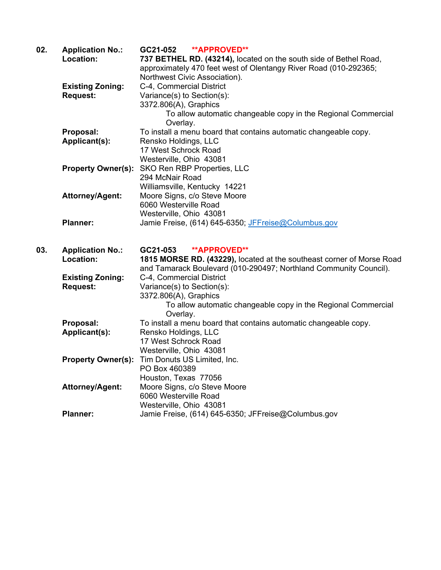| 02. | <b>Application No.:</b>   | <b>**APPROVED**</b><br>GC21-052                                       |
|-----|---------------------------|-----------------------------------------------------------------------|
|     | Location:                 | 737 BETHEL RD. (43214), located on the south side of Bethel Road,     |
|     |                           | approximately 470 feet west of Olentangy River Road (010-292365;      |
|     |                           | Northwest Civic Association).                                         |
|     | <b>Existing Zoning:</b>   | C-4, Commercial District                                              |
|     | <b>Request:</b>           | Variance(s) to Section(s):                                            |
|     |                           | 3372.806(A), Graphics                                                 |
|     |                           | To allow automatic changeable copy in the Regional Commercial         |
|     |                           | Overlay.                                                              |
|     | Proposal:                 | To install a menu board that contains automatic changeable copy.      |
|     | Applicant(s):             | Rensko Holdings, LLC                                                  |
|     |                           | 17 West Schrock Road                                                  |
|     |                           | Westerville, Ohio 43081                                               |
|     | <b>Property Owner(s):</b> | SKO Ren RBP Properties, LLC                                           |
|     |                           | 294 McNair Road                                                       |
|     |                           | Williamsville, Kentucky 14221                                         |
|     | <b>Attorney/Agent:</b>    | Moore Signs, c/o Steve Moore                                          |
|     |                           | 6060 Westerville Road                                                 |
|     |                           | Westerville, Ohio 43081                                               |
|     | <b>Planner:</b>           | Jamie Freise, (614) 645-6350; JFFreise@Columbus.gov                   |
|     |                           |                                                                       |
|     |                           |                                                                       |
| 03. | <b>Application No.:</b>   | <b>**APPROVED**</b><br>GC21-053                                       |
|     | Location:                 | 1815 MORSE RD. (43229), located at the southeast corner of Morse Road |
|     |                           | and Tamarack Boulevard (010-290497; Northland Community Council).     |
|     | <b>Existing Zoning:</b>   | C-4, Commercial District                                              |
|     | <b>Request:</b>           | Variance(s) to Section(s):                                            |
|     |                           | 3372.806(A), Graphics                                                 |
|     |                           | To allow automatic changeable copy in the Regional Commercial         |
|     |                           | Overlay.                                                              |
|     | Proposal:                 | To install a menu board that contains automatic changeable copy.      |
|     |                           |                                                                       |
|     | Applicant(s):             | Rensko Holdings, LLC                                                  |
|     |                           | 17 West Schrock Road                                                  |
|     |                           | Westerville, Ohio 43081                                               |
|     | <b>Property Owner(s):</b> | Tim Donuts US Limited, Inc.                                           |
|     |                           | PO Box 460389                                                         |
|     |                           | Houston, Texas 77056                                                  |
|     | <b>Attorney/Agent:</b>    | Moore Signs, c/o Steve Moore                                          |
|     |                           | 6060 Westerville Road                                                 |
|     |                           | Westerville, Ohio 43081                                               |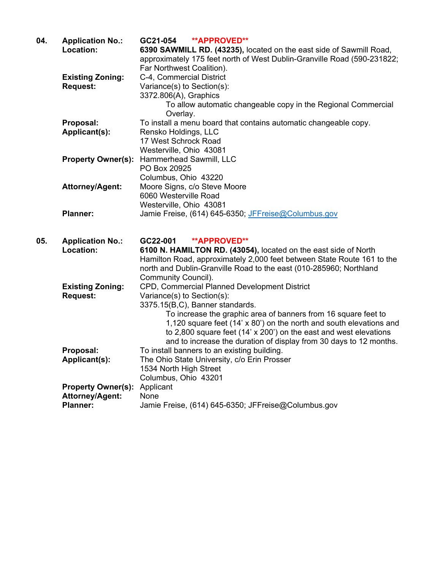| 04. | <b>Application No.:</b>   | <b>**APPROVED**</b><br>GC21-054                                         |
|-----|---------------------------|-------------------------------------------------------------------------|
|     | Location:                 | 6390 SAWMILL RD. (43235), located on the east side of Sawmill Road,     |
|     |                           | approximately 175 feet north of West Dublin-Granville Road (590-231822; |
|     |                           | Far Northwest Coalition).                                               |
|     | <b>Existing Zoning:</b>   | C-4, Commercial District                                                |
|     | <b>Request:</b>           | Variance(s) to Section(s):                                              |
|     |                           | 3372.806(A), Graphics                                                   |
|     |                           | To allow automatic changeable copy in the Regional Commercial           |
|     |                           | Overlay.                                                                |
|     | Proposal:                 | To install a menu board that contains automatic changeable copy.        |
|     | Applicant(s):             | Rensko Holdings, LLC                                                    |
|     |                           | 17 West Schrock Road                                                    |
|     |                           | Westerville, Ohio 43081                                                 |
|     | <b>Property Owner(s):</b> | Hammerhead Sawmill, LLC                                                 |
|     |                           | PO Box 20925                                                            |
|     |                           | Columbus, Ohio 43220                                                    |
|     | <b>Attorney/Agent:</b>    | Moore Signs, c/o Steve Moore                                            |
|     |                           | 6060 Westerville Road                                                   |
|     |                           | Westerville, Ohio 43081                                                 |
|     | <b>Planner:</b>           | Jamie Freise, (614) 645-6350; JFFreise@Columbus.gov                     |
|     |                           |                                                                         |
| 05. | <b>Application No.:</b>   | <b>**APPROVED**</b><br>GC22-001                                         |
|     | Location:                 | 6100 N. HAMILTON RD. (43054), located on the east side of North         |
|     |                           | Hamilton Road, approximately 2,000 feet between State Route 161 to the  |
|     |                           | north and Dublin-Granville Road to the east (010-285960; Northland      |
|     |                           | Community Council).                                                     |
|     | <b>Existing Zoning:</b>   | CPD, Commercial Planned Development District                            |
|     | <b>Request:</b>           | Variance(s) to Section(s):                                              |
|     |                           | 3375.15(B,C), Banner standards.                                         |
|     |                           | To increase the graphic area of banners from 16 square feet to          |
|     |                           | 1,120 square feet (14' x 80') on the north and south elevations and     |
|     |                           | to 2,800 square feet (14' x 200') on the east and west elevations       |
|     |                           | and to increase the duration of display from 30 days to 12 months.      |
|     | Proposal:                 | To install banners to an existing building.                             |
|     | Applicant(s):             | The Ohio State University, c/o Erin Prosser                             |
|     |                           | 1534 North High Street                                                  |
|     |                           | Columbus, Ohio 43201                                                    |
|     | <b>Property Owner(s):</b> | Applicant                                                               |
|     | Attorney/Agent:           | None                                                                    |
|     | <b>Planner:</b>           | Jamie Freise, (614) 645-6350; JFFreise@Columbus.gov                     |
|     |                           |                                                                         |